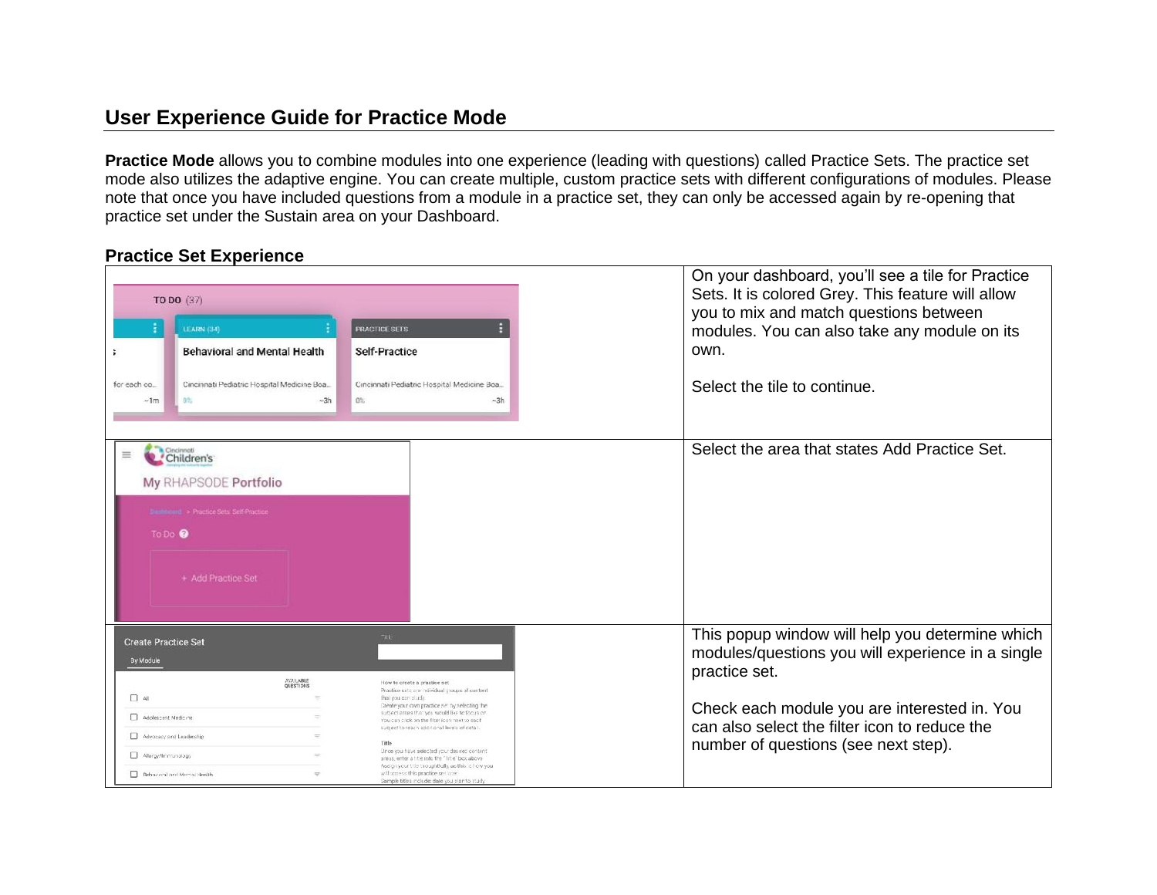## **User Experience Guide for Practice Mode**

**Practice Mode** allows you to combine modules into one experience (leading with questions) called Practice Sets. The practice set mode also utilizes the adaptive engine. You can create multiple, custom practice sets with different configurations of modules. Please note that once you have included questions from a module in a practice set, they can only be accessed again by re-opening that practice set under the Sustain area on your Dashboard.

## **Practice Set Experience**

| TO DO (37)<br><b>LEARN (34)</b><br><b>Behavioral and Mental Health</b><br>Cincinnati Pediatric Hospital Medicine Boa<br>for each co<br>D <sub>5</sub><br>$-3h$<br>$\neg$ 1m                   | PRACTICE SETS<br>Self-Practice<br>Cincinnati Pediatric Hospital Medicine Boa.,<br>0%<br>$-3h$                                                                                                                                                                                                                                                                                                                                                                                                                                                                         | On your dashboard, you'll see a tile for Practice<br>Sets. It is colored Grey. This feature will allow<br>you to mix and match questions between<br>modules. You can also take any module on its<br>own.<br>Select the tile to continue.                       |
|-----------------------------------------------------------------------------------------------------------------------------------------------------------------------------------------------|-----------------------------------------------------------------------------------------------------------------------------------------------------------------------------------------------------------------------------------------------------------------------------------------------------------------------------------------------------------------------------------------------------------------------------------------------------------------------------------------------------------------------------------------------------------------------|----------------------------------------------------------------------------------------------------------------------------------------------------------------------------------------------------------------------------------------------------------------|
| Cincinnat<br>≡<br>Children's<br>My RHAPSODE Portfolio<br><b>Dashboard &gt; Practice Sets Self-Practice</b><br>To Do <sup>0</sup><br>+ Add Practice Set                                        |                                                                                                                                                                                                                                                                                                                                                                                                                                                                                                                                                                       | Select the area that states Add Practice Set.                                                                                                                                                                                                                  |
| <b>Create Practice Set</b><br>By Module<br><b>AVAILABLE</b><br>QUESTIONS<br>$\Box$ All<br>Adolescent Medicine<br>Advocacy and Leadership<br>Allergy/Immunology<br>Behavoral and Mental Health | How to create a practice set<br>Practice sets are individual groups of content<br>that you can study.<br>Create your own practice set by selecting the<br>subject areas that you would like to foous on<br>You can click on the filter icon next to each<br>subject to reach additional levels of detail.<br>Title<br>Once you have selected your desired content.<br>areas, enter a title info the "Title" box above<br>Assign your title thoughtfully, as this is how you.<br>will appear this practice set later.<br>Sample titles include: date you plan to study | This popup window will help you determine which<br>modules/questions you will experience in a single<br>practice set.<br>Check each module you are interested in. You<br>can also select the filter icon to reduce the<br>number of questions (see next step). |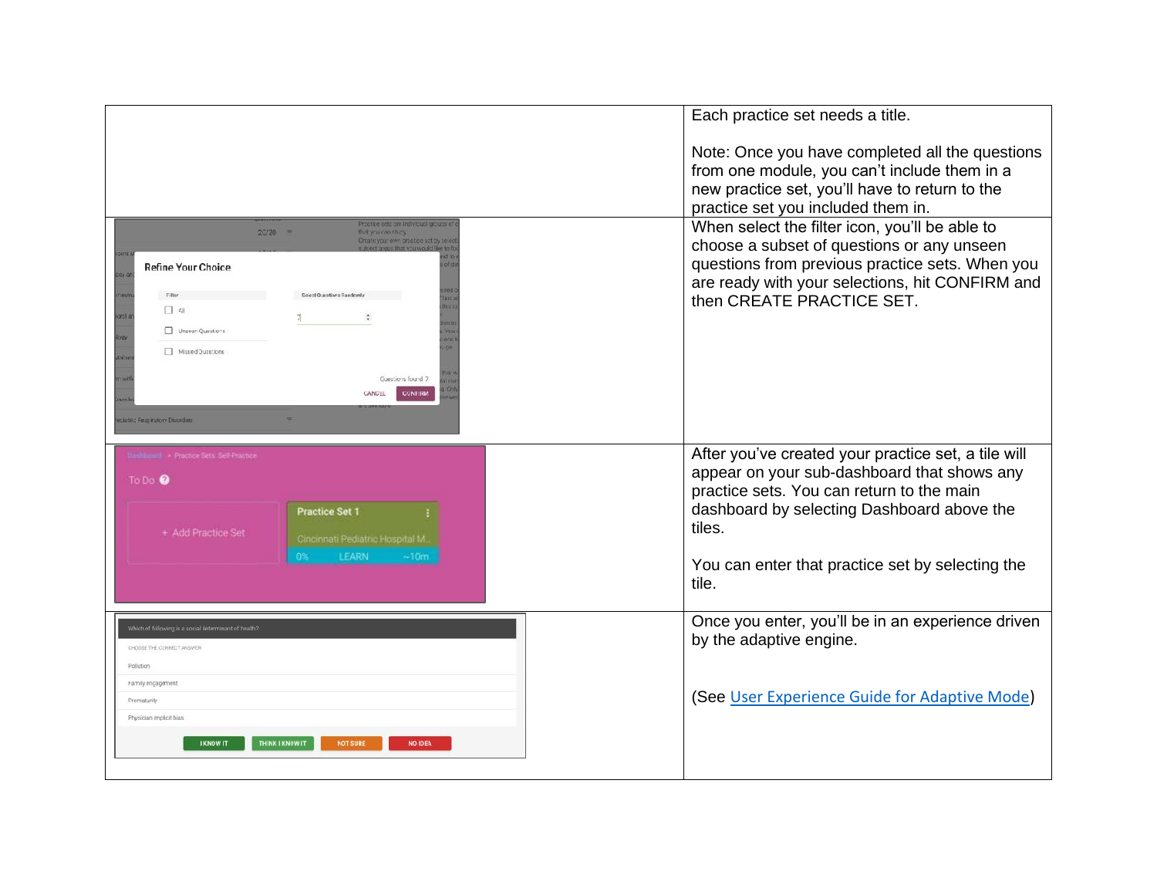|                                                                                                                                                                                                                                                                                                                                                                                 | Each practice set needs a title.                                                                                                                                                                                                |
|---------------------------------------------------------------------------------------------------------------------------------------------------------------------------------------------------------------------------------------------------------------------------------------------------------------------------------------------------------------------------------|---------------------------------------------------------------------------------------------------------------------------------------------------------------------------------------------------------------------------------|
|                                                                                                                                                                                                                                                                                                                                                                                 | Note: Once you have completed all the questions<br>from one module, you can't include them in a<br>new practice set, you'll have to return to the<br>practice set you included them in.                                         |
| Proofice acts are individual groups of<br>$20/20 =$<br>that you can study.<br>Create your own problee set by seles<br>this own that white popular by<br><b>Refine Your Choice</b><br>Solect Questions Randomly<br>Filter<br>$\Box$ 41<br>$\frac{4}{3}$<br>Unseen Questions<br>Missed Questione<br>Questions found 7<br><b>CONFIRM</b><br>CANCEL<br>latric Regnitatory Dispution | When select the filter icon, you'll be able to<br>choose a subset of questions or any unseen<br>questions from previous practice sets. When you<br>are ready with your selections, hit CONFIRM and<br>then CREATE PRACTICE SET. |
| Intitional > Proctice Sets: Self-Proctice<br>To Do <sup>O</sup><br><b>Practice Set 1</b><br>+ Add Practice Set<br>Cincinnati Pediatric Hospital M.                                                                                                                                                                                                                              | After you've created your practice set, a tile will<br>appear on your sub-dashboard that shows any<br>practice sets. You can return to the main<br>dashboard by selecting Dashboard above the<br>tiles.                         |
| <b>LEARN</b><br>0%<br>~10 <sub>m</sub>                                                                                                                                                                                                                                                                                                                                          | You can enter that practice set by selecting the<br>tile.                                                                                                                                                                       |
| Which of following is a social determinant of health?<br>CHOOSE THE CORRECT ANSWER<br>Pollution                                                                                                                                                                                                                                                                                 | Once you enter, you'll be in an experience driven<br>by the adaptive engine.                                                                                                                                                    |
| Family encagement<br><b>Prematurity</b><br>Physician implicit bias<br><b>THINK I KNOW IT</b><br><b>I KNOW IT</b><br><b>NOT SURE</b><br><b>NO IDEA</b>                                                                                                                                                                                                                           | (See User Experience Guide for Adaptive Mode)                                                                                                                                                                                   |
|                                                                                                                                                                                                                                                                                                                                                                                 |                                                                                                                                                                                                                                 |